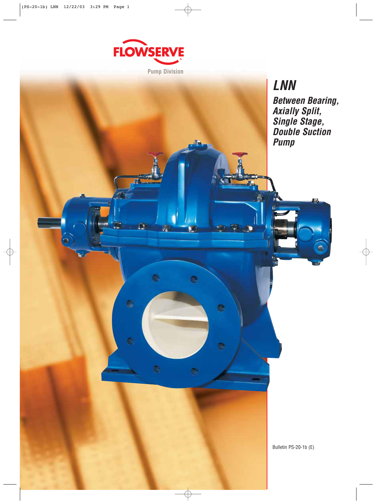

 $\overline{\Omega}$ 

¢

蟵

e

**Pump Division**

**LNN Between Bearing, Axially Split, Single Stage, Double Suction Pump**

۰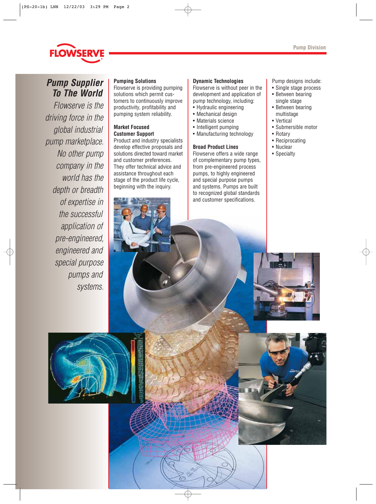

# **Pump Supplier To The World**

Flowserve is the driving force in the global industrial pump marketplace. No other pump company in the world has the depth or breadth of expertise in the successful application of pre-engineered, engineered and special purpose pumps and systems.

## **Pumping Solutions**

Flowserve is providing pumping solutions which permit customers to continuously improve productivity, profitability and pumping system reliability.

## **Market Focused Customer Support**

Product and industry specialists develop effective proposals and solutions directed toward market and customer preferences. They offer technical advice and assistance throughout each stage of the product life cycle, beginning with the inquiry.

#### **Dynamic Technologies**

Flowserve is without peer in the development and application of pump technology, including:

- Hydraulic engineering
- Mechanical design
- Materials science
- Intelligent pumping
- Manufacturing technology

## **Broad Product Lines**

Flowserve offers a wide range of complementary pump types, from pre-engineered process pumps, to highly engineered and special purpose pumps and systems. Pumps are built to recognized global standards and customer specifications.

Pump designs include:

- Single stage process
- Between bearing single stage
- Between bearing multistage
- Vertical
- Submersible motor
- Rotary
- Reciprocating
- Nuclear
- Specialty





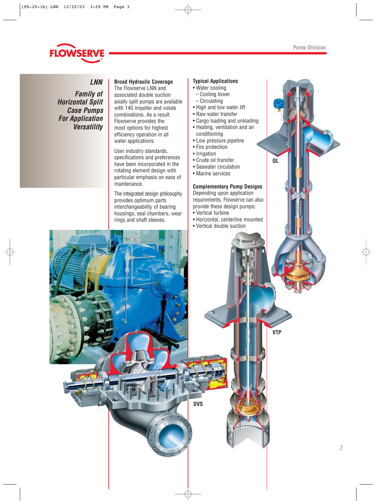

**LNN Family of Horizontal Split Case Pumps For Application Versatility**

## **Broad Hydraulic Coverage**

The Flowserve LNN and associated double suction axially split pumps are available with 145 impeller and volute combinations. As a result Flowserve provides the most options for highest efficiency operation in all water applications.

User industry standards, specifications and preferences have been incorporated in the rotating element design with particular emphasis on ease of maintenance.

The integrated design philosophy provides optimum parts interchangeability of bearing housings, seal chambers, wear rings and shaft sleeves.

## **Typical Applications**

- Water cooling
- Cooling tower
- Circulating
- High and low water lift
- Raw water transfer
- Cargo loading and unloading • Heating, ventilation and air
- conditioning
- Low pressure pipeline
- Fire protection
- Irrigation
- Crude oil transfer
- Seawater circulation
- Marine services

## **Complementary Pump Designs**

**QL**

**VTP**

Depending upon application requirements, Flowserve can also provide these design pumps:

- Vertical turbine
- Horizontal, centerline mounted
- Vertical double suction

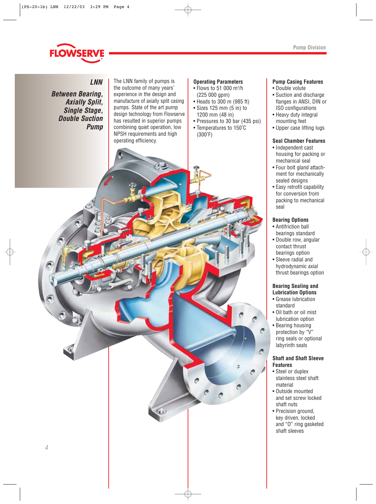

**LNN Between Bearing, Axially Split, Single Stage, Double Suction Pump**

The LNN family of pumps is the outcome of many years' experience in the design and manufacture of axially split casing pumps. State of the art pump design technology from Flowserve has resulted in superior pumps combining quiet operation, low NPSH requirements and high operating efficiency.

## **Operating Parameters**

- Flows to 51 000 m3 /h (225 000 gpm)
- Heads to 300 m (985 ft)
- Sizes 125 mm (5 in) to 1200 mm (48 in)
- Pressures to 30 bar (435 psi) • Temperatures to 150˚C (300˚F)

## **Pump Casing Features**

- Double volute
- Suction and discharge flanges in ANSI, DIN or ISO configurations
- Heavy duty integral mounting feet
- Upper case lifting lugs

## **Seal Chamber Features**

- Independent cast housing for packing or mechanical seal
- Four bolt gland attachment for mechanically sealed designs
- Easy retrofit capability for conversion from packing to mechanical seal

## **Bearing Options**

- Antifriction ball bearings standard
- Double row, angular contact thrust bearings option
- Sleeve radial and hydrodynamic axial thrust bearings option

## **Bearing Sealing and Lubrication Options**

- Grease lubrication standard
- Oil bath or oil mist lubrication option
- Bearing housing protection by "V"
- ring seals or optional labyrinth seals

Λ

## **Shaft and Shaft Sleeve Features**

- Steel or duplex stainless steel shaft material
- Outside mounted and set screw locked shaft nuts
- Precision ground, key driven, locked and "O" ring gasketed shaft sleeves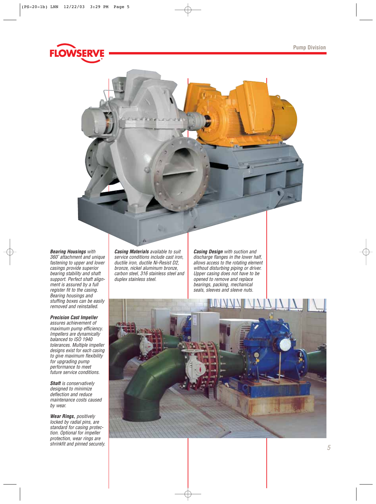



#### **Bearing Housings** with

360˚ attachment and unique fastening to upper and lower casings provide superior bearing stability and shaft support. Perfect shaft alignment is assured by a full register fit to the casing. Bearing housings and stuffing boxes can be easily removed and reinstalled.

#### **Precision Cast Impeller**

assures achievement of maximum pump efficiency. Impellers are dynamically balanced to ISO 1940 tolerances. Multiple impeller designs exist for each casing to give maximum flexibility for upgrading pump performance to meet future service conditions.

**Shaft** is conservatively designed to minimize deflection and reduce maintenance costs caused by wear.

**Wear Rings,** positively locked by radial pins, are standard for casing protection. Optional for impeller protection, wear rings are shrinkfit and pinned securely. **Casing Materials** available to suit service conditions include cast iron, ductile iron, ductile Ni-Resist D2, bronze, nickel aluminum bronze, carbon steel, 316 stainless steel and duplex stainless steel.

**Casing Design** with suction and discharge flanges in the lower half, allows access to the rotating element without disturbing piping or driver. Upper casing does not have to be opened to remove and replace bearings, packing, mechanical seals, sleeves and sleeve nuts.

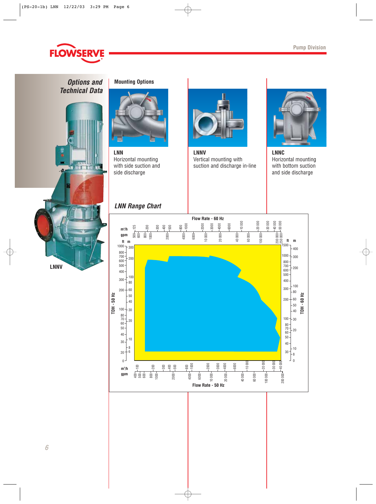

**Options and Mounting Options Technical Data**





**LNN** Horizontal mounting with side suction and side discharge

## **LNN Range Chart**



**LNNV** Vertical mounting with suction and discharge in-line



**LNNC** Horizontal mounting with bottom suction and side discharge

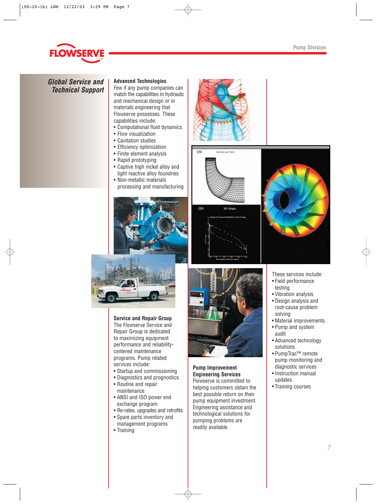

## **Global Service and Technical Support**

## **Advanced Technologies**

Few if any pump companies can match the capabilities in hydraulic and mechanical design or in materials engineering that Flowserve possesses. These capabilities include:

- Computational fluid dynamics
- Flow visualization
- Cavitation studies
- Efficiency optimization
- Finite element analysis
- Rapid prototyping
- Captive high nickel alloy and light reactive alloy foundries
- Non-metallic materials processing and manufacturing





œ







## **Service and Repair Group** The Flowserve Service and

Repair Group is dedicated to maximizing equipment performance and reliabilitycentered maintenance programs. Pump related services include:

- Startup and commissioning
- Diagnostics and prognostics
- Routine and repair maintenance
- ANSI and ISO power end exchange program
- Re-rates, upgrades and retrofits
- Spare parts inventory and management programs
- Training



## **Pump Improvement Engineering Services** Flowserve is committed to

helping customers obtain the best possible return on their pump equipment investment. Engineering assistance and technological solutions for pumping problems are readily available.

- These services include:
- Field performance testing
- Vibration analysis
- Design analysis and root-cause problem solving
- Material improvements
- Pump and system audit
- Advanced technology solutions
- PumpTrac™ remote pump monitoring and diagnostic services
- Instruction manual updates
- Training courses